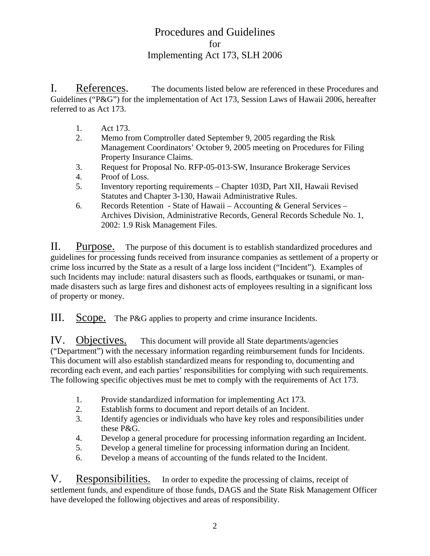I. References. The documents listed below are referenced in these Procedures and Guidelines ("P&G") for the implementation of Act 173, Session Laws of Hawaii 2006, hereafter referred to as Act 173.

- 1. Act 173.
- 2. Memo from Comptroller dated September 9, 2005 regarding the Risk Management Coordinators' October 9, 2005 meeting on Procedures for Filing Property Insurance Claims.
- 3. Request for Proposal No. RFP-05-013-SW, Insurance Brokerage Services
- 4. Proof of Loss.
- 5. Inventory reporting requirements Chapter 103D, Part XII, Hawaii Revised Statutes and Chapter 3-130, Hawaii Administrative Rules.
- 6. Records Retention State of Hawaii Accounting & General Services Archives Division, Administrative Records, General Records Schedule No. 1, 2002: 1.9 Risk Management Files.

II. Purpose. The purpose of this document is to establish standardized procedures and guidelines for processing funds received from insurance companies as settlement of a property or crime loss incurred by the State as a result of a large loss incident ("Incident"). Examples of such Incidents may include: natural disasters such as floods, earthquakes or tsunami, or manmade disasters such as large fires and dishonest acts of employees resulting in a significant loss of property or money.

III. Scope. The P&G applies to property and crime insurance Incidents.

IV. Objectives. This document will provide all State departments/agencies ("Department") with the necessary information regarding reimbursement funds for Incidents. This document will also establish standardized means for responding to, documenting and recording each event, and each parties' responsibilities for complying with such requirements. The following specific objectives must be met to comply with the requirements of Act 173.

- 1. Provide standardized information for implementing Act 173.
- 2. Establish forms to document and report details of an Incident.
- 3. Identify agencies or individuals who have key roles and responsibilities under these P&G.
- 4. Develop a general procedure for processing information regarding an Incident.
- 5. Develop a general timeline for processing information during an Incident.
- 6. Develop a means of accounting of the funds related to the Incident.

V. Responsibilities. In order to expedite the processing of claims, receipt of settlement funds, and expenditure of those funds, DAGS and the State Risk Management Officer have developed the following objectives and areas of responsibility.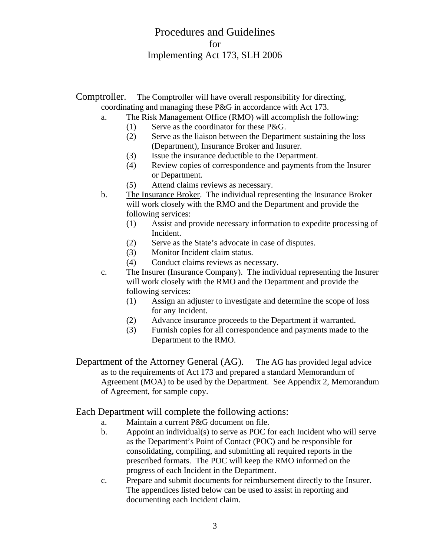Comptroller. The Comptroller will have overall responsibility for directing, coordinating and managing these P&G in accordance with Act 173.

- a. The Risk Management Office (RMO) will accomplish the following:
	- (1) Serve as the coordinator for these P&G.
	- (2) Serve as the liaison between the Department sustaining the loss (Department), Insurance Broker and Insurer.
	- (3) Issue the insurance deductible to the Department.
	- (4) Review copies of correspondence and payments from the Insurer or Department.
	- (5) Attend claims reviews as necessary.
- b. The Insurance Broker. The individual representing the Insurance Broker will work closely with the RMO and the Department and provide the following services:
	- (1) Assist and provide necessary information to expedite processing of Incident.
	- (2) Serve as the State's advocate in case of disputes.
	- (3) Monitor Incident claim status.
	- (4) Conduct claims reviews as necessary.
- c. The Insurer (Insurance Company). The individual representing the Insurer will work closely with the RMO and the Department and provide the following services:
	- (1) Assign an adjuster to investigate and determine the scope of loss for any Incident.
	- (2) Advance insurance proceeds to the Department if warranted.
	- (3) Furnish copies for all correspondence and payments made to the Department to the RMO.
- Department of the Attorney General (AG). The AG has provided legal advice as to the requirements of Act 173 and prepared a standard Memorandum of Agreement (MOA) to be used by the Department. See Appendix 2, Memorandum of Agreement, for sample copy.

Each Department will complete the following actions:

- a. Maintain a current P&G document on file.
- b. Appoint an individual(s) to serve as POC for each Incident who will serve as the Department's Point of Contact (POC) and be responsible for consolidating, compiling, and submitting all required reports in the prescribed formats. The POC will keep the RMO informed on the progress of each Incident in the Department.
- c. Prepare and submit documents for reimbursement directly to the Insurer. The appendices listed below can be used to assist in reporting and documenting each Incident claim.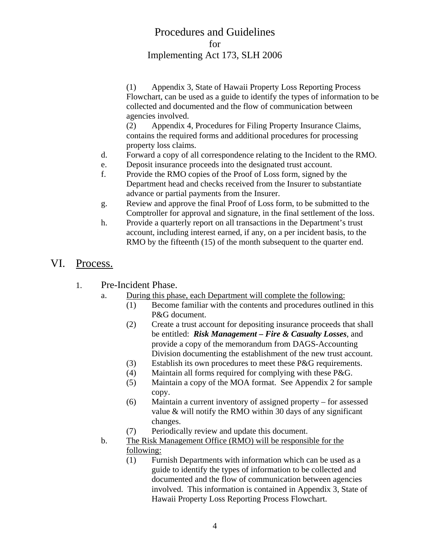(1) Appendix 3, State of Hawaii Property Loss Reporting Process Flowchart, can be used as a guide to identify the types of information to be collected and documented and the flow of communication between agencies involved.

(2) Appendix 4, Procedures for Filing Property Insurance Claims, contains the required forms and additional procedures for processing property loss claims.

- d. Forward a copy of all correspondence relating to the Incident to the RMO.
- e. Deposit insurance proceeds into the designated trust account.
- f. Provide the RMO copies of the Proof of Loss form, signed by the Department head and checks received from the Insurer to substantiate advance or partial payments from the Insurer.
- g. Review and approve the final Proof of Loss form, to be submitted to the Comptroller for approval and signature, in the final settlement of the loss.
- h. Provide a quarterly report on all transactions in the Department's trust account, including interest earned, if any, on a per incident basis, to the RMO by the fifteenth (15) of the month subsequent to the quarter end.
- VI. Process.
	- 1. Pre-Incident Phase.
		- a. During this phase, each Department will complete the following:
			- (1) Become familiar with the contents and procedures outlined in this P&G document.
			- (2) Create a trust account for depositing insurance proceeds that shall be entitled: *Risk Management – Fire & Casualty Losses*, and provide a copy of the memorandum from DAGS-Accounting Division documenting the establishment of the new trust account.
			- (3) Establish its own procedures to meet these P&G requirements.
			- (4) Maintain all forms required for complying with these P&G.
			- (5) Maintain a copy of the MOA format. See Appendix 2 for sample copy.
			- (6) Maintain a current inventory of assigned property for assessed value & will notify the RMO within 30 days of any significant changes.
			- (7) Periodically review and update this document.
		- b. The Risk Management Office (RMO) will be responsible for the following:
			- (1) Furnish Departments with information which can be used as a guide to identify the types of information to be collected and documented and the flow of communication between agencies involved. This information is contained in Appendix 3, State of Hawaii Property Loss Reporting Process Flowchart.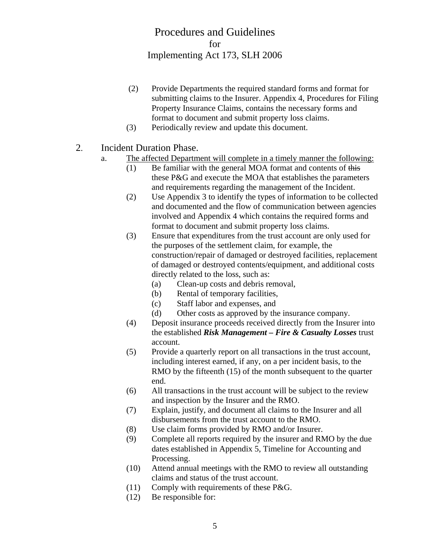- (2) Provide Departments the required standard forms and format for submitting claims to the Insurer. Appendix 4, Procedures for Filing Property Insurance Claims, contains the necessary forms and format to document and submit property loss claims.
- (3) Periodically review and update this document.
- 2. Incident Duration Phase.
	- a. The affected Department will complete in a timely manner the following:
		- $(1)$  Be familiar with the general MOA format and contents of this these P&G and execute the MOA that establishes the parameters and requirements regarding the management of the Incident.
		- (2) Use Appendix 3 to identify the types of information to be collected and documented and the flow of communication between agencies involved and Appendix 4 which contains the required forms and format to document and submit property loss claims.
		- (3) Ensure that expenditures from the trust account are only used for the purposes of the settlement claim, for example, the construction/repair of damaged or destroyed facilities, replacement of damaged or destroyed contents/equipment, and additional costs directly related to the loss, such as:
			- (a) Clean-up costs and debris removal,
			- (b) Rental of temporary facilities,
			- (c) Staff labor and expenses, and
			- (d) Other costs as approved by the insurance company.
		- (4) Deposit insurance proceeds received directly from the Insurer into the established *Risk Management – Fire & Casualty Losses* trust account.
		- (5) Provide a quarterly report on all transactions in the trust account, including interest earned, if any, on a per incident basis, to the RMO by the fifteenth (15) of the month subsequent to the quarter end.
		- (6) All transactions in the trust account will be subject to the review and inspection by the Insurer and the RMO.
		- (7) Explain, justify, and document all claims to the Insurer and all disbursements from the trust account to the RMO.
		- (8) Use claim forms provided by RMO and/or Insurer.
		- (9) Complete all reports required by the insurer and RMO by the due dates established in Appendix 5, Timeline for Accounting and Processing.
		- (10) Attend annual meetings with the RMO to review all outstanding claims and status of the trust account.
		- (11) Comply with requirements of these P&G.
		- (12) Be responsible for: